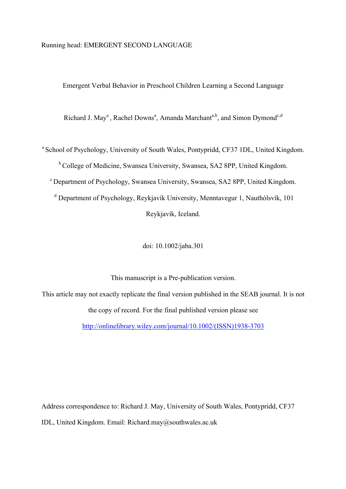## Running head: EMERGENT SECOND LANGUAGE

Emergent Verbal Behavior in Preschool Children Learning a Second Language

Richard J. May<sup>a</sup>, Rachel Downs<sup>a</sup>, Amanda Marchant<sup>a,b</sup>, and Simon Dymond<sup>c,d</sup>

<sup>a</sup> School of Psychology, University of South Wales, Pontypridd, CF37 1DL, United Kingdom.

b College of Medicine, Swansea University, Swansea, SA2 8PP, United Kingdom.

<sup>c</sup> Department of Psychology, Swansea University, Swansea, SA2 8PP, United Kingdom.

<sup>d</sup> Department of Psychology, Reykjavík University, Menntavegur 1, Nauthólsvík, 101 Reykjavík, Iceland.

doi: 10.1002/jaba.301

This manuscript is a Pre-publication version.

This article may not exactly replicate the final version published in the SEAB journal. It is not the copy of record. For the final published version please see

http://onlinelibrary.wiley.com/journal/10.1002/(ISSN)1938-3703

Address correspondence to: Richard J. May, University of South Wales, Pontypridd, CF37 IDL, United Kingdom. Email: Richard.may@southwales.ac.uk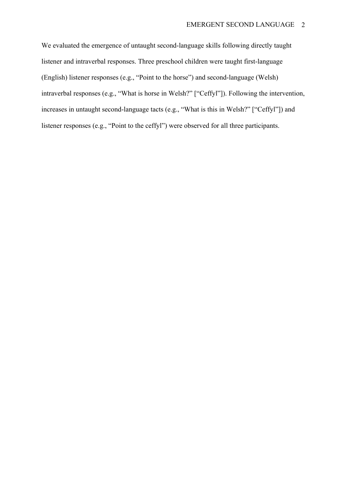We evaluated the emergence of untaught second-language skills following directly taught listener and intraverbal responses. Three preschool children were taught first-language (English) listener responses (e.g., "Point to the horse") and second-language (Welsh) intraverbal responses (e.g., "What is horse in Welsh?" ["Ceffyl"]). Following the intervention, increases in untaught second-language tacts (e.g., "What is this in Welsh?" ["Ceffyl"]) and listener responses (e.g., "Point to the ceffyl") were observed for all three participants.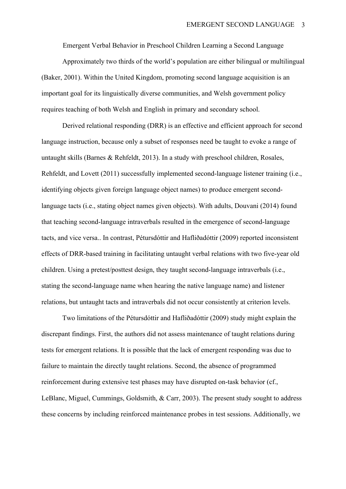Emergent Verbal Behavior in Preschool Children Learning a Second Language

Approximately two thirds of the world's population are either bilingual or multilingual (Baker, 2001). Within the United Kingdom, promoting second language acquisition is an important goal for its linguistically diverse communities, and Welsh government policy requires teaching of both Welsh and English in primary and secondary school.

Derived relational responding (DRR) is an effective and efficient approach for second language instruction, because only a subset of responses need be taught to evoke a range of untaught skills (Barnes & Rehfeldt, 2013). In a study with preschool children, Rosales, Rehfeldt, and Lovett (2011) successfully implemented second-language listener training (i.e., identifying objects given foreign language object names) to produce emergent secondlanguage tacts (i.e., stating object names given objects). With adults, Douvani (2014) found that teaching second-language intraverbals resulted in the emergence of second-language tacts, and vice versa.. In contrast, Pétursdóttir and Hafliðadóttir (2009) reported inconsistent effects of DRR-based training in facilitating untaught verbal relations with two five-year old children. Using a pretest/posttest design, they taught second-language intraverbals (i.e., stating the second-language name when hearing the native language name) and listener relations, but untaught tacts and intraverbals did not occur consistently at criterion levels.

Two limitations of the Pétursdóttir and Hafliðadóttir (2009) study might explain the discrepant findings. First, the authors did not assess maintenance of taught relations during tests for emergent relations. It is possible that the lack of emergent responding was due to failure to maintain the directly taught relations. Second, the absence of programmed reinforcement during extensive test phases may have disrupted on-task behavior (cf., LeBlanc, Miguel, Cummings, Goldsmith, & Carr, 2003). The present study sought to address these concerns by including reinforced maintenance probes in test sessions. Additionally, we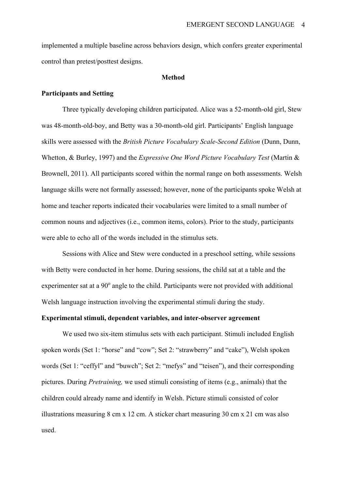implemented a multiple baseline across behaviors design, which confers greater experimental control than pretest/posttest designs.

#### **Method**

## **Participants and Setting**

Three typically developing children participated. Alice was a 52-month-old girl, Stew was 48-month-old-boy, and Betty was a 30-month-old girl. Participants' English language skills were assessed with the *British Picture Vocabulary Scale-Second Edition* (Dunn, Dunn, Whetton, & Burley, 1997) and the *Expressive One Word Picture Vocabulary Test* (Martin & Brownell, 2011). All participants scored within the normal range on both assessments. Welsh language skills were not formally assessed; however, none of the participants spoke Welsh at home and teacher reports indicated their vocabularies were limited to a small number of common nouns and adjectives (i.e., common items, colors). Prior to the study, participants were able to echo all of the words included in the stimulus sets.

Sessions with Alice and Stew were conducted in a preschool setting, while sessions with Betty were conducted in her home. During sessions, the child sat at a table and the experimenter sat at a  $90^\circ$  angle to the child. Participants were not provided with additional Welsh language instruction involving the experimental stimuli during the study.

### **Experimental stimuli, dependent variables, and inter-observer agreement**

We used two six-item stimulus sets with each participant. Stimuli included English spoken words (Set 1: "horse" and "cow"; Set 2: "strawberry" and "cake"), Welsh spoken words (Set 1: "ceffyl" and "buwch"; Set 2: "mefys" and "teisen"), and their corresponding pictures. During *Pretraining,* we used stimuli consisting of items (e.g., animals) that the children could already name and identify in Welsh. Picture stimuli consisted of color illustrations measuring 8 cm x 12 cm. A sticker chart measuring 30 cm x 21 cm was also used.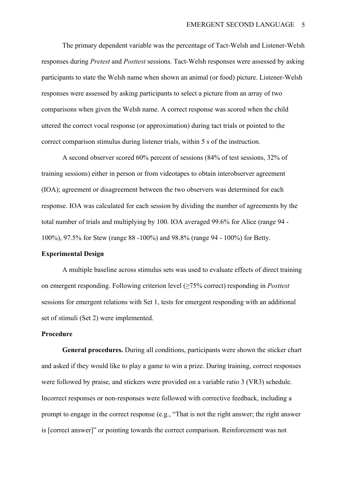The primary dependent variable was the percentage of Tact-Welsh and Listener-Welsh responses during *Pretest* and *Posttest* sessions. Tact-Welsh responses were assessed by asking participants to state the Welsh name when shown an animal (or food) picture. Listener-Welsh responses were assessed by asking participants to select a picture from an array of two comparisons when given the Welsh name. A correct response was scored when the child uttered the correct vocal response (or approximation) during tact trials or pointed to the correct comparison stimulus during listener trials, within 5 s of the instruction.

A second observer scored 60% percent of sessions (84% of test sessions, 32% of training sessions) either in person or from videotapes to obtain interobserver agreement (IOA); agreement or disagreement between the two observers was determined for each response. IOA was calculated for each session by dividing the number of agreements by the total number of trials and multiplying by 100. IOA averaged 99.6% for Alice (range 94 - 100%), 97.5% for Stew (range 88 -100%) and 98.8% (range 94 - 100%) for Betty.

### **Experimental Design**

A multiple baseline across stimulus sets was used to evaluate effects of direct training on emergent responding. Following criterion level (≥75% correct) responding in *Posttest* sessions for emergent relations with Set 1, tests for emergent responding with an additional set of stimuli (Set 2) were implemented.

## **Procedure**

**General procedures.** During all conditions, participants were shown the sticker chart and asked if they would like to play a game to win a prize. During training, correct responses were followed by praise, and stickers were provided on a variable ratio 3 (VR3) schedule. Incorrect responses or non-responses were followed with corrective feedback, including a prompt to engage in the correct response (e.g., "That is not the right answer; the right answer is [correct answer]" or pointing towards the correct comparison. Reinforcement was not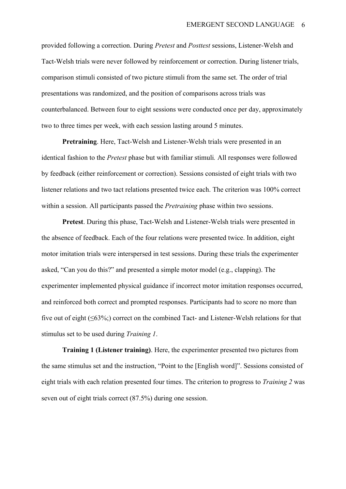provided following a correction. During *Pretest* and *Posttest* sessions, Listener-Welsh and Tact-Welsh trials were never followed by reinforcement or correction. During listener trials, comparison stimuli consisted of two picture stimuli from the same set. The order of trial presentations was randomized, and the position of comparisons across trials was counterbalanced. Between four to eight sessions were conducted once per day, approximately two to three times per week, with each session lasting around 5 minutes.

**Pretraining**. Here, Tact-Welsh and Listener-Welsh trials were presented in an identical fashion to the *Pretest* phase but with familiar stimuli*.* All responses were followed by feedback (either reinforcement or correction). Sessions consisted of eight trials with two listener relations and two tact relations presented twice each. The criterion was 100% correct within a session. All participants passed the *Pretraining* phase within two sessions.

**Pretest**. During this phase, Tact-Welsh and Listener-Welsh trials were presented in the absence of feedback. Each of the four relations were presented twice. In addition, eight motor imitation trials were interspersed in test sessions. During these trials the experimenter asked, "Can you do this?" and presented a simple motor model (e.g., clapping). The experimenter implemented physical guidance if incorrect motor imitation responses occurred, and reinforced both correct and prompted responses. Participants had to score no more than five out of eight  $(\leq 63\%)$ ; correct on the combined Tact- and Listener-Welsh relations for that stimulus set to be used during *Training 1*.

**Training 1 (Listener training)**. Here, the experimenter presented two pictures from the same stimulus set and the instruction, "Point to the [English word]". Sessions consisted of eight trials with each relation presented four times. The criterion to progress to *Training 2* was seven out of eight trials correct (87.5%) during one session.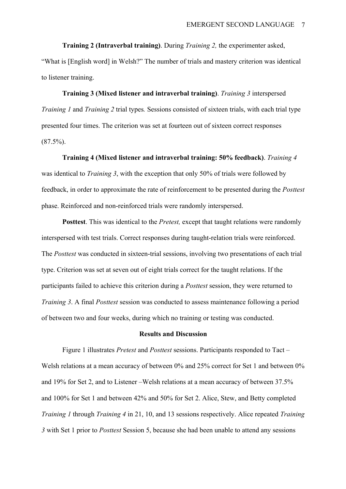**Training 2 (Intraverbal training)**. During *Training 2,* the experimenter asked, "What is [English word] in Welsh?" The number of trials and mastery criterion was identical to listener training.

**Training 3 (Mixed listener and intraverbal training)**. *Training 3* interspersed *Training 1* and *Training 2* trial types*.* Sessions consisted of sixteen trials, with each trial type presented four times. The criterion was set at fourteen out of sixteen correct responses  $(87.5\%)$ .

**Training 4 (Mixed listener and intraverbal training: 50% feedback)**. *Training 4*  was identical to *Training 3*, with the exception that only 50% of trials were followed by feedback, in order to approximate the rate of reinforcement to be presented during the *Posttest*  phase. Reinforced and non-reinforced trials were randomly interspersed.

**Posttest**. This was identical to the *Pretest,* except that taught relations were randomly interspersed with test trials. Correct responses during taught-relation trials were reinforced. The *Posttest* was conducted in sixteen-trial sessions, involving two presentations of each trial type. Criterion was set at seven out of eight trials correct for the taught relations. If the participants failed to achieve this criterion during a *Posttest* session, they were returned to *Training 3*. A final *Posttest* session was conducted to assess maintenance following a period of between two and four weeks, during which no training or testing was conducted.

#### **Results and Discussion**

Figure 1 illustrates *Pretest* and *Posttest* sessions. Participants responded to Tact – Welsh relations at a mean accuracy of between 0% and 25% correct for Set 1 and between 0% and 19% for Set 2, and to Listener –Welsh relations at a mean accuracy of between 37.5% and 100% for Set 1 and between 42% and 50% for Set 2. Alice, Stew, and Betty completed *Training 1* through *Training 4* in 21, 10, and 13 sessions respectively. Alice repeated *Training 3* with Set 1 prior to *Posttest* Session 5, because she had been unable to attend any sessions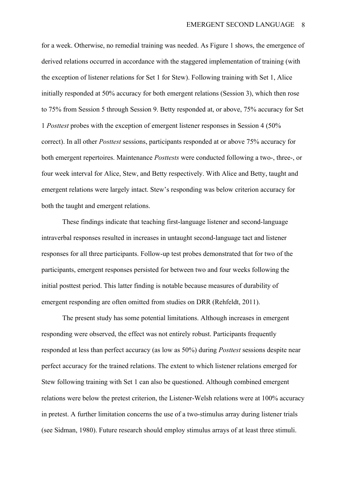for a week. Otherwise, no remedial training was needed. As Figure 1 shows, the emergence of derived relations occurred in accordance with the staggered implementation of training (with the exception of listener relations for Set 1 for Stew). Following training with Set 1, Alice initially responded at 50% accuracy for both emergent relations (Session 3), which then rose to 75% from Session 5 through Session 9. Betty responded at, or above, 75% accuracy for Set 1 *Posttest* probes with the exception of emergent listener responses in Session 4 (50% correct). In all other *Posttest* sessions, participants responded at or above 75% accuracy for both emergent repertoires. Maintenance *Posttests* were conducted following a two-, three-, or four week interval for Alice, Stew, and Betty respectively. With Alice and Betty, taught and emergent relations were largely intact. Stew's responding was below criterion accuracy for both the taught and emergent relations.

These findings indicate that teaching first-language listener and second-language intraverbal responses resulted in increases in untaught second-language tact and listener responses for all three participants. Follow-up test probes demonstrated that for two of the participants, emergent responses persisted for between two and four weeks following the initial posttest period. This latter finding is notable because measures of durability of emergent responding are often omitted from studies on DRR (Rehfeldt, 2011).

The present study has some potential limitations. Although increases in emergent responding were observed, the effect was not entirely robust. Participants frequently responded at less than perfect accuracy (as low as 50%) during *Posttest* sessions despite near perfect accuracy for the trained relations. The extent to which listener relations emerged for Stew following training with Set 1 can also be questioned. Although combined emergent relations were below the pretest criterion, the Listener-Welsh relations were at 100% accuracy in pretest. A further limitation concerns the use of a two-stimulus array during listener trials (see Sidman, 1980). Future research should employ stimulus arrays of at least three stimuli.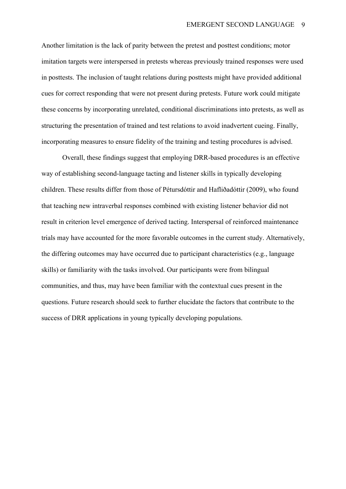Another limitation is the lack of parity between the pretest and posttest conditions; motor imitation targets were interspersed in pretests whereas previously trained responses were used in posttests. The inclusion of taught relations during posttests might have provided additional cues for correct responding that were not present during pretests. Future work could mitigate these concerns by incorporating unrelated, conditional discriminations into pretests, as well as structuring the presentation of trained and test relations to avoid inadvertent cueing. Finally, incorporating measures to ensure fidelity of the training and testing procedures is advised.

Overall, these findings suggest that employing DRR-based procedures is an effective way of establishing second-language tacting and listener skills in typically developing children. These results differ from those of Pétursdóttir and Hafliðadóttir (2009), who found that teaching new intraverbal responses combined with existing listener behavior did not result in criterion level emergence of derived tacting. Interspersal of reinforced maintenance trials may have accounted for the more favorable outcomes in the current study. Alternatively, the differing outcomes may have occurred due to participant characteristics (e.g., language skills) or familiarity with the tasks involved. Our participants were from bilingual communities, and thus, may have been familiar with the contextual cues present in the questions. Future research should seek to further elucidate the factors that contribute to the success of DRR applications in young typically developing populations.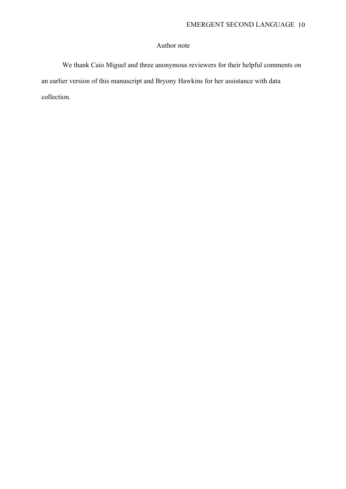# Author note

We thank Caio Miguel and three anonymous reviewers for their helpful comments on an earlier version of this manuscript and Bryony Hawkins for her assistance with data collection.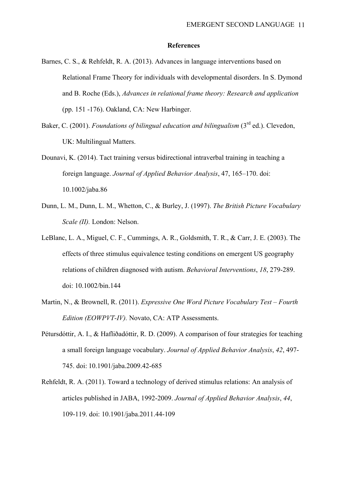#### **References**

- Barnes, C. S., & Rehfeldt, R. A. (2013). Advances in language interventions based on Relational Frame Theory for individuals with developmental disorders. In S. Dymond and B. Roche (Eds.), *Advances in relational frame theory: Research and application* (pp. 151 -176). Oakland, CA: New Harbinger.
- Baker, C. (2001). *Foundations of bilingual education and bilingualism* (3<sup>rd</sup> ed.). Clevedon, UK: Multilingual Matters.
- Dounavi, K. (2014). Tact training versus bidirectional intraverbal training in teaching a foreign language. *Journal of Applied Behavior Analysis*, 47, 165–170. doi: 10.1002/jaba.86
- Dunn, L. M., Dunn, L. M., Whetton, C., & Burley, J. (1997). *The British Picture Vocabulary Scale (II).* London: Nelson.
- LeBlanc, L. A., Miguel, C. F., Cummings, A. R., Goldsmith, T. R., & Carr, J. E. (2003). The effects of three stimulus equivalence testing conditions on emergent US geography relations of children diagnosed with autism. *Behavioral Interventions*, *18*, 279-289. doi: 10.1002/bin.144
- Martin, N., & Brownell, R. (2011). *Expressive One Word Picture Vocabulary Test – Fourth Edition (EOWPVT-IV).* Novato, CA: ATP Assessments.
- Pétursdóttir, A. I., & Hafliðadóttir, R. D. (2009). A comparison of four strategies for teaching a small foreign language vocabulary. *Journal of Applied Behavior Analysis*, *42*, 497- 745. doi: 10.1901/jaba.2009.42-685
- Rehfeldt, R. A. (2011). Toward a technology of derived stimulus relations: An analysis of articles published in JABA, 1992-2009. *Journal of Applied Behavior Analysis*, *44*, 109-119. doi: 10.1901/jaba.2011.44-109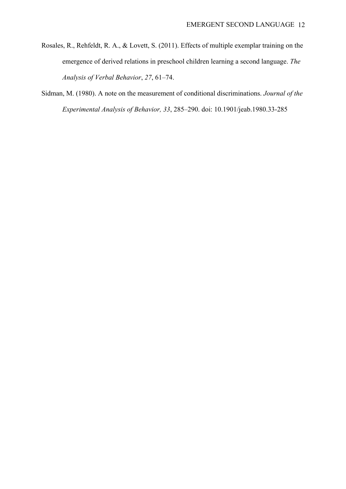Rosales, R., Rehfeldt, R. A., & Lovett, S. (2011). Effects of multiple exemplar training on the emergence of derived relations in preschool children learning a second language. *The Analysis of Verbal Behavior*, *27*, 61–74.

Sidman, M. (1980). A note on the measurement of conditional discriminations. *Journal of the Experimental Analysis of Behavior, 33*, 285–290. doi: 10.1901/jeab.1980.33-285